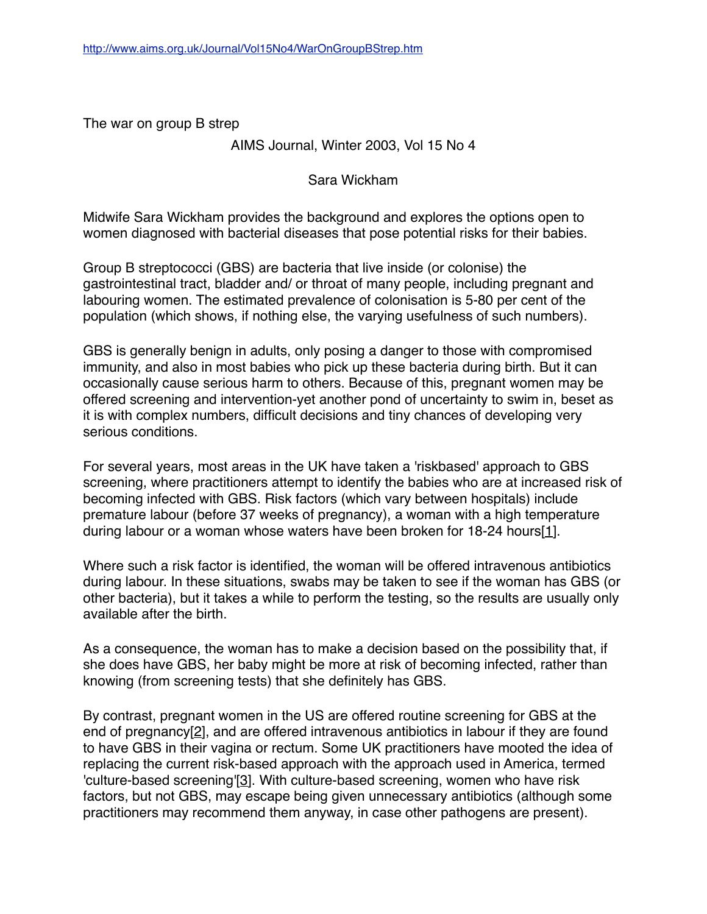The war on group B strep

### AIMS Journal, Winter 2003, Vol 15 No 4

Sara Wickham

Midwife Sara Wickham provides the background and explores the options open to women diagnosed with bacterial diseases that pose potential risks for their babies.

Group B streptococci (GBS) are bacteria that live inside (or colonise) the gastrointestinal tract, bladder and/ or throat of many people, including pregnant and labouring women. The estimated prevalence of colonisation is 5-80 per cent of the population (which shows, if nothing else, the varying usefulness of such numbers).

GBS is generally benign in adults, only posing a danger to those with compromised immunity, and also in most babies who pick up these bacteria during birth. But it can occasionally cause serious harm to others. Because of this, pregnant women may be offered screening and intervention-yet another pond of uncertainty to swim in, beset as it is with complex numbers, difficult decisions and tiny chances of developing very serious conditions.

For several years, most areas in the UK have taken a 'riskbased' approach to GBS screening, where practitioners attempt to identify the babies who are at increased risk of becoming infected with GBS. Risk factors (which vary between hospitals) include premature labour (before 37 weeks of pregnancy), a woman with a high temperature during labour or a woman whose waters have been broken for 18-24 hours[1].

Where such a risk factor is identified, the woman will be offered intravenous antibiotics during labour. In these situations, swabs may be taken to see if the woman has GBS (or other bacteria), but it takes a while to perform the testing, so the results are usually only available after the birth.

As a consequence, the woman has to make a decision based on the possibility that, if she does have GBS, her baby might be more at risk of becoming infected, rather than knowing (from screening tests) that she definitely has GBS.

By contrast, pregnant women in the US are offered routine screening for GBS at the end of pregnancy[2], and are offered intravenous antibiotics in labour if they are found to have GBS in their vagina or rectum. Some UK practitioners have mooted the idea of replacing the current risk-based approach with the approach used in America, termed 'culture-based screening'[3]. With culture-based screening, women who have risk factors, but not GBS, may escape being given unnecessary antibiotics (although some practitioners may recommend them anyway, in case other pathogens are present).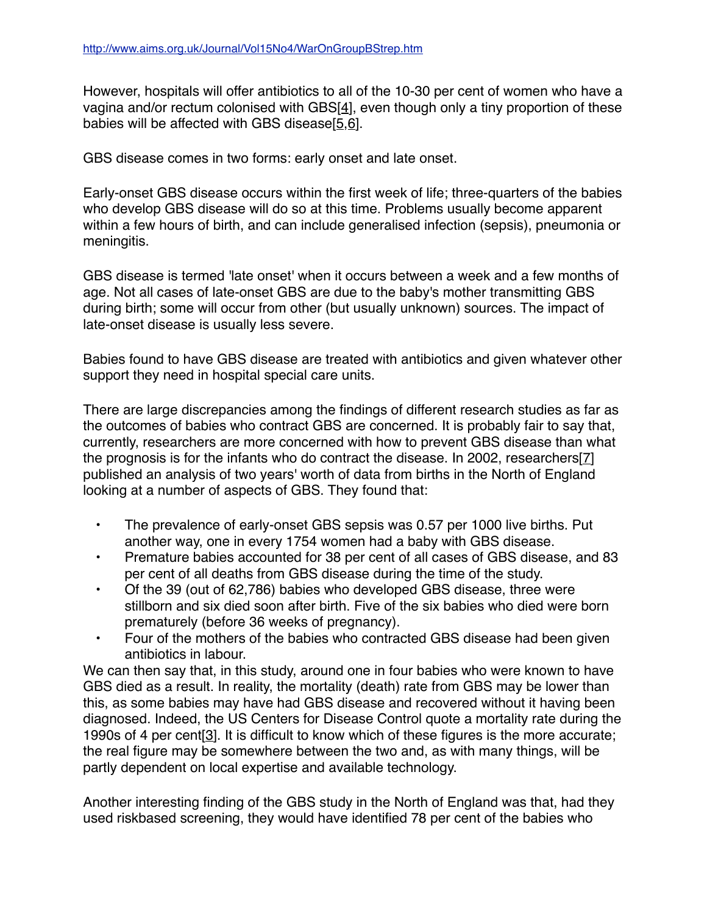However, hospitals will offer antibiotics to all of the 10-30 per cent of women who have a vagina and/or rectum colonised with GBS[4], even though only a tiny proportion of these babies will be affected with GBS disease[5,6].

GBS disease comes in two forms: early onset and late onset.

Early-onset GBS disease occurs within the first week of life; three-quarters of the babies who develop GBS disease will do so at this time. Problems usually become apparent within a few hours of birth, and can include generalised infection (sepsis), pneumonia or meningitis.

GBS disease is termed 'late onset' when it occurs between a week and a few months of age. Not all cases of late-onset GBS are due to the baby's mother transmitting GBS during birth; some will occur from other (but usually unknown) sources. The impact of late-onset disease is usually less severe.

Babies found to have GBS disease are treated with antibiotics and given whatever other support they need in hospital special care units.

There are large discrepancies among the findings of different research studies as far as the outcomes of babies who contract GBS are concerned. It is probably fair to say that, currently, researchers are more concerned with how to prevent GBS disease than what the prognosis is for the infants who do contract the disease. In 2002, researchers[7] published an analysis of two years' worth of data from births in the North of England looking at a number of aspects of GBS. They found that:

- The prevalence of early-onset GBS sepsis was 0.57 per 1000 live births. Put another way, one in every 1754 women had a baby with GBS disease.
- Premature babies accounted for 38 per cent of all cases of GBS disease, and 83 per cent of all deaths from GBS disease during the time of the study.
- Of the 39 (out of 62,786) babies who developed GBS disease, three were stillborn and six died soon after birth. Five of the six babies who died were born prematurely (before 36 weeks of pregnancy).
- Four of the mothers of the babies who contracted GBS disease had been given antibiotics in labour.

We can then say that, in this study, around one in four babies who were known to have GBS died as a result. In reality, the mortality (death) rate from GBS may be lower than this, as some babies may have had GBS disease and recovered without it having been diagnosed. Indeed, the US Centers for Disease Control quote a mortality rate during the 1990s of 4 per cent[3]. It is difficult to know which of these figures is the more accurate; the real figure may be somewhere between the two and, as with many things, will be partly dependent on local expertise and available technology.

Another interesting finding of the GBS study in the North of England was that, had they used riskbased screening, they would have identified 78 per cent of the babies who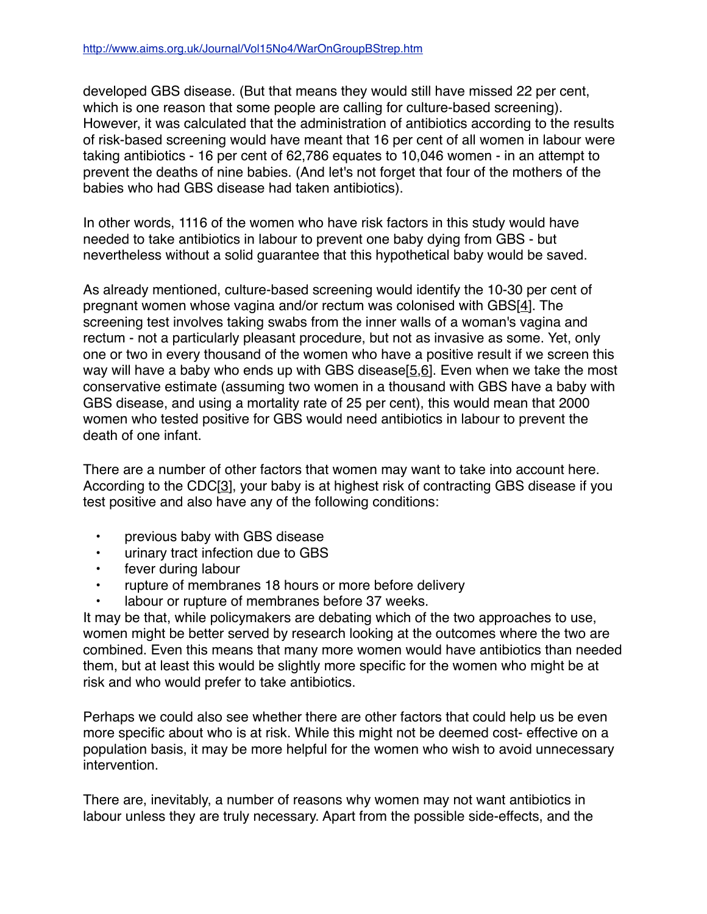developed GBS disease. (But that means they would still have missed 22 per cent, which is one reason that some people are calling for culture-based screening). However, it was calculated that the administration of antibiotics according to the results of risk-based screening would have meant that 16 per cent of all women in labour were taking antibiotics - 16 per cent of 62,786 equates to 10,046 women - in an attempt to prevent the deaths of nine babies. (And let's not forget that four of the mothers of the babies who had GBS disease had taken antibiotics).

In other words, 1116 of the women who have risk factors in this study would have needed to take antibiotics in labour to prevent one baby dying from GBS - but nevertheless without a solid guarantee that this hypothetical baby would be saved.

As already mentioned, culture-based screening would identify the 10-30 per cent of pregnant women whose vagina and/or rectum was colonised with GBS[4]. The screening test involves taking swabs from the inner walls of a woman's vagina and rectum - not a particularly pleasant procedure, but not as invasive as some. Yet, only one or two in every thousand of the women who have a positive result if we screen this way will have a baby who ends up with GBS disease $[5,6]$ . Even when we take the most conservative estimate (assuming two women in a thousand with GBS have a baby with GBS disease, and using a mortality rate of 25 per cent), this would mean that 2000 women who tested positive for GBS would need antibiotics in labour to prevent the death of one infant.

There are a number of other factors that women may want to take into account here. According to the CDC[3], your baby is at highest risk of contracting GBS disease if you test positive and also have any of the following conditions:

- previous baby with GBS disease
- urinary tract infection due to GBS
- fever during labour
- rupture of membranes 18 hours or more before delivery
- labour or rupture of membranes before 37 weeks.

It may be that, while policymakers are debating which of the two approaches to use, women might be better served by research looking at the outcomes where the two are combined. Even this means that many more women would have antibiotics than needed them, but at least this would be slightly more specific for the women who might be at risk and who would prefer to take antibiotics.

Perhaps we could also see whether there are other factors that could help us be even more specific about who is at risk. While this might not be deemed cost- effective on a population basis, it may be more helpful for the women who wish to avoid unnecessary intervention.

There are, inevitably, a number of reasons why women may not want antibiotics in labour unless they are truly necessary. Apart from the possible side-effects, and the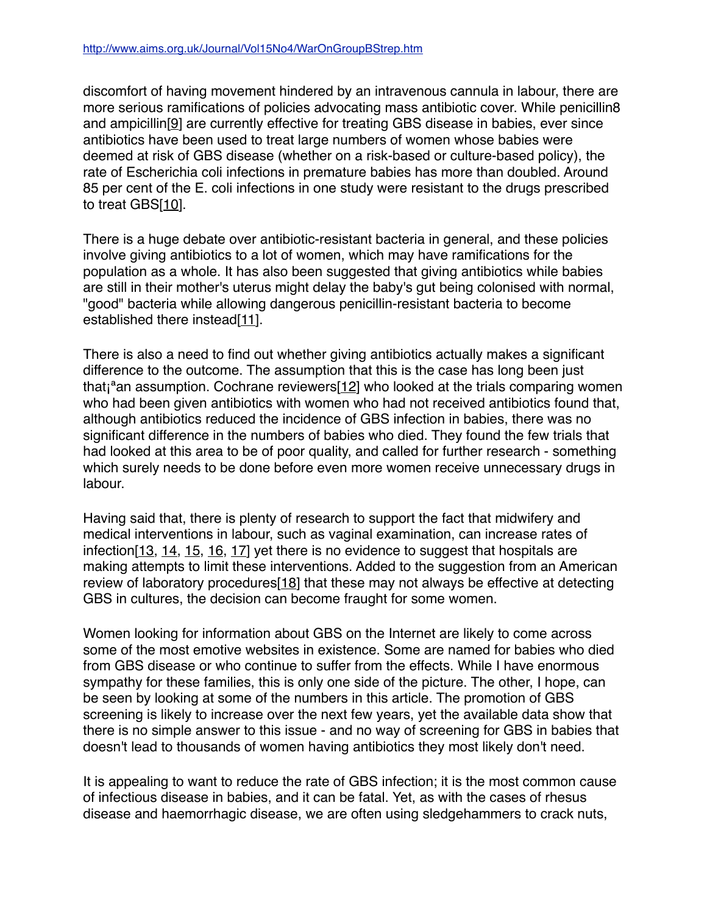discomfort of having movement hindered by an intravenous cannula in labour, there are more serious ramifications of policies advocating mass antibiotic cover. While penicillin8 and ampicillin[9] are currently effective for treating GBS disease in babies, ever since antibiotics have been used to treat large numbers of women whose babies were deemed at risk of GBS disease (whether on a risk-based or culture-based policy), the rate of Escherichia coli infections in premature babies has more than doubled. Around 85 per cent of the E. coli infections in one study were resistant to the drugs prescribed to treat GBS[10].

There is a huge debate over antibiotic-resistant bacteria in general, and these policies involve giving antibiotics to a lot of women, which may have ramifications for the population as a whole. It has also been suggested that giving antibiotics while babies are still in their mother's uterus might delay the baby's gut being colonised with normal, "good" bacteria while allowing dangerous penicillin-resistant bacteria to become established there instead[11].

There is also a need to find out whether giving antibiotics actually makes a significant difference to the outcome. The assumption that this is the case has long been just that $i<sup>a</sup>$ an assumption. Cochrane reviewers $[12]$  who looked at the trials comparing women who had been given antibiotics with women who had not received antibiotics found that, although antibiotics reduced the incidence of GBS infection in babies, there was no significant difference in the numbers of babies who died. They found the few trials that had looked at this area to be of poor quality, and called for further research - something which surely needs to be done before even more women receive unnecessary drugs in labour.

Having said that, there is plenty of research to support the fact that midwifery and medical interventions in labour, such as vaginal examination, can increase rates of infection[13, 14, 15, 16, 17] yet there is no evidence to suggest that hospitals are making attempts to limit these interventions. Added to the suggestion from an American review of laboratory procedures<sup>[18]</sup> that these may not always be effective at detecting GBS in cultures, the decision can become fraught for some women.

Women looking for information about GBS on the Internet are likely to come across some of the most emotive websites in existence. Some are named for babies who died from GBS disease or who continue to suffer from the effects. While I have enormous sympathy for these families, this is only one side of the picture. The other, I hope, can be seen by looking at some of the numbers in this article. The promotion of GBS screening is likely to increase over the next few years, yet the available data show that there is no simple answer to this issue - and no way of screening for GBS in babies that doesn't lead to thousands of women having antibiotics they most likely don't need.

It is appealing to want to reduce the rate of GBS infection; it is the most common cause of infectious disease in babies, and it can be fatal. Yet, as with the cases of rhesus disease and haemorrhagic disease, we are often using sledgehammers to crack nuts,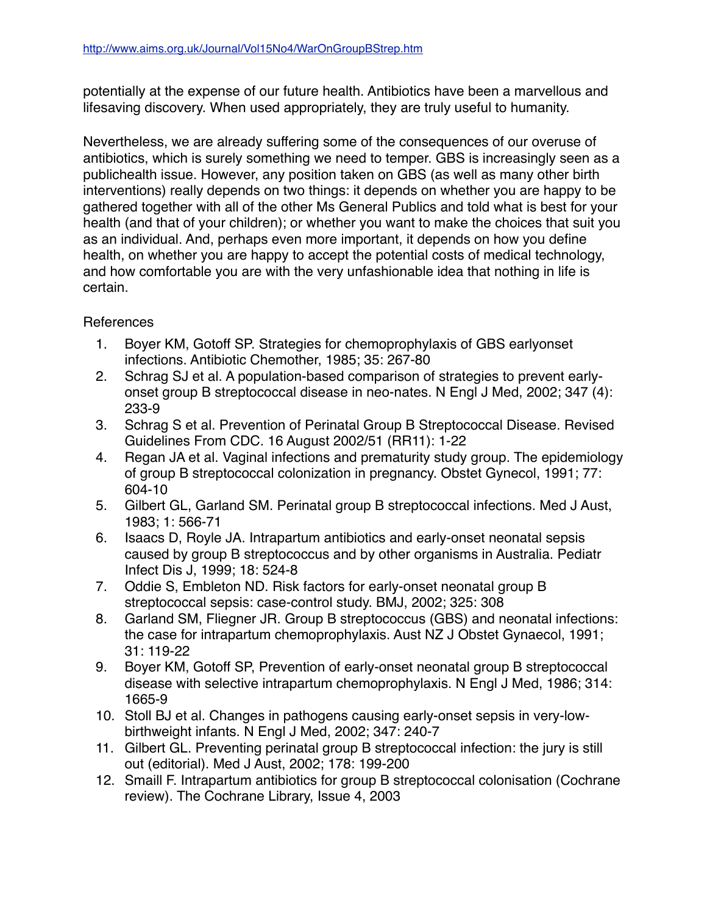potentially at the expense of our future health. Antibiotics have been a marvellous and lifesaving discovery. When used appropriately, they are truly useful to humanity.

Nevertheless, we are already suffering some of the consequences of our overuse of antibiotics, which is surely something we need to temper. GBS is increasingly seen as a publichealth issue. However, any position taken on GBS (as well as many other birth interventions) really depends on two things: it depends on whether you are happy to be gathered together with all of the other Ms General Publics and told what is best for your health (and that of your children); or whether you want to make the choices that suit you as an individual. And, perhaps even more important, it depends on how you define health, on whether you are happy to accept the potential costs of medical technology, and how comfortable you are with the very unfashionable idea that nothing in life is certain.

## References

- 1. Boyer KM, Gotoff SP. Strategies for chemoprophylaxis of GBS earlyonset infections. Antibiotic Chemother, 1985; 35: 267-80
- 2. Schrag SJ et al. A population-based comparison of strategies to prevent earlyonset group B streptococcal disease in neo-nates. N Engl J Med, 2002; 347 (4): 233-9
- 3. Schrag S et al. Prevention of Perinatal Group B Streptococcal Disease. Revised Guidelines From CDC. 16 August 2002/51 (RR11): 1-22
- 4. Regan JA et al. Vaginal infections and prematurity study group. The epidemiology of group B streptococcal colonization in pregnancy. Obstet Gynecol, 1991; 77: 604-10
- 5. Gilbert GL, Garland SM. Perinatal group B streptococcal infections. Med J Aust, 1983; 1: 566-71
- 6. Isaacs D, Royle JA. Intrapartum antibiotics and early-onset neonatal sepsis caused by group B streptococcus and by other organisms in Australia. Pediatr Infect Dis J, 1999; 18: 524-8
- 7. Oddie S, Embleton ND. Risk factors for early-onset neonatal group B streptococcal sepsis: case-control study. BMJ, 2002; 325: 308
- 8. Garland SM, Fliegner JR. Group B streptococcus (GBS) and neonatal infections: the case for intrapartum chemoprophylaxis. Aust NZ J Obstet Gynaecol, 1991; 31: 119-22
- 9. Boyer KM, Gotoff SP, Prevention of early-onset neonatal group B streptococcal disease with selective intrapartum chemoprophylaxis. N Engl J Med, 1986; 314: 1665-9
- 10. Stoll BJ et al. Changes in pathogens causing early-onset sepsis in very-lowbirthweight infants. N Engl J Med, 2002; 347: 240-7
- 11. Gilbert GL. Preventing perinatal group B streptococcal infection: the jury is still out (editorial). Med J Aust, 2002; 178: 199-200
- 12. Smaill F. Intrapartum antibiotics for group B streptococcal colonisation (Cochrane review). The Cochrane Library, Issue 4, 2003